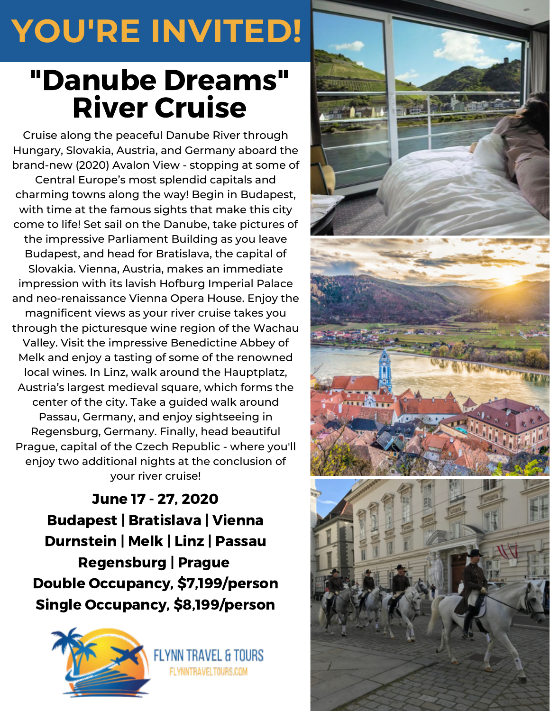## **YOU'RE INVITED!**

## "Danube Dreams" River Cruise

Cruise along the peaceful Danube River through Hungary, Slovakia, Austria, and Germany aboard the brand-new (2020) Avalon View - stopping at some of Central Europe's most splendid capitals and charming towns along the way! Begin in Budapest, with time at the famous sights that make this city come to life! Set sail on the Danube, take pictures of the impressive Parliament Building as you leave Budapest, and head for Bratislava, the capital of Slovakia. Vienna, Austria, makes an immediate impression with its lavish Hofburg Imperial Palace and neo-renaissance Vienna Opera House. Enjoy the magnificent views as your river cruise takes you through the picturesque wine region of the Wachau Valley. Visit the impressive Benedictine Abbey of Melk and enjoy a tasting of some of the renowned local wines. In Linz, walk around the Hauptplatz, Austria's largest medieval square, which forms the center of the city. Take a guided walk around Passau, Germany, and enjoy sightseeing in Regensburg, Germany. Finally, head beautiful Prague, capital of the Czech Republic - where you'll enjoy two additional nights at the conclusion of your river cruise!

June 17 - 27, 2020 Budapest | Bratislava | Vienna Durnstein | Melk | Linz | Passau Regensburg | Prague Double Occupancy, \$7,199/person Single Occupancy, \$8,199/person

FLYNNTRAVELTOURS.COM